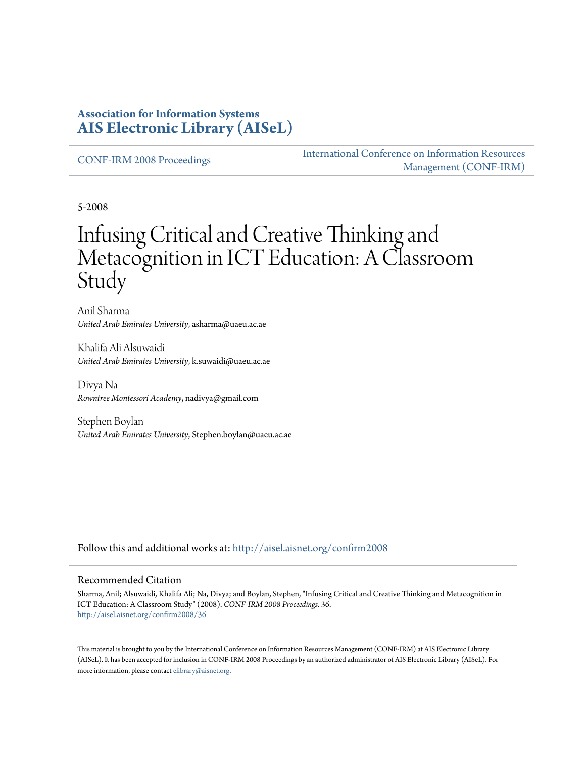### **Association for Information Systems [AIS Electronic Library \(AISeL\)](http://aisel.aisnet.org?utm_source=aisel.aisnet.org%2Fconfirm2008%2F36&utm_medium=PDF&utm_campaign=PDFCoverPages)**

[CONF-IRM 2008 Proceedings](http://aisel.aisnet.org/confirm2008?utm_source=aisel.aisnet.org%2Fconfirm2008%2F36&utm_medium=PDF&utm_campaign=PDFCoverPages)

[International Conference on Information Resources](http://aisel.aisnet.org/conf-irm?utm_source=aisel.aisnet.org%2Fconfirm2008%2F36&utm_medium=PDF&utm_campaign=PDFCoverPages) [Management \(CONF-IRM\)](http://aisel.aisnet.org/conf-irm?utm_source=aisel.aisnet.org%2Fconfirm2008%2F36&utm_medium=PDF&utm_campaign=PDFCoverPages)

5-2008

# Infusing Critical and Creative Thinking and Metacognition in ICT Education: A Classroom Study

Anil Sharma *United Arab Emirates University*, asharma@uaeu.ac.ae

Khalifa Ali Alsuwaidi *United Arab Emirates University*, k.suwaidi@uaeu.ac.ae

Divya Na *Rowntree Montessori Academy*, nadivya@gmail.com

Stephen Boylan *United Arab Emirates University*, Stephen.boylan@uaeu.ac.ae

Follow this and additional works at: [http://aisel.aisnet.org/confirm2008](http://aisel.aisnet.org/confirm2008?utm_source=aisel.aisnet.org%2Fconfirm2008%2F36&utm_medium=PDF&utm_campaign=PDFCoverPages)

#### Recommended Citation

Sharma, Anil; Alsuwaidi, Khalifa Ali; Na, Divya; and Boylan, Stephen, "Infusing Critical and Creative Thinking and Metacognition in ICT Education: A Classroom Study" (2008). *CONF-IRM 2008 Proceedings*. 36. [http://aisel.aisnet.org/confirm2008/36](http://aisel.aisnet.org/confirm2008/36?utm_source=aisel.aisnet.org%2Fconfirm2008%2F36&utm_medium=PDF&utm_campaign=PDFCoverPages)

This material is brought to you by the International Conference on Information Resources Management (CONF-IRM) at AIS Electronic Library (AISeL). It has been accepted for inclusion in CONF-IRM 2008 Proceedings by an authorized administrator of AIS Electronic Library (AISeL). For more information, please contact [elibrary@aisnet.org.](mailto:elibrary@aisnet.org%3E)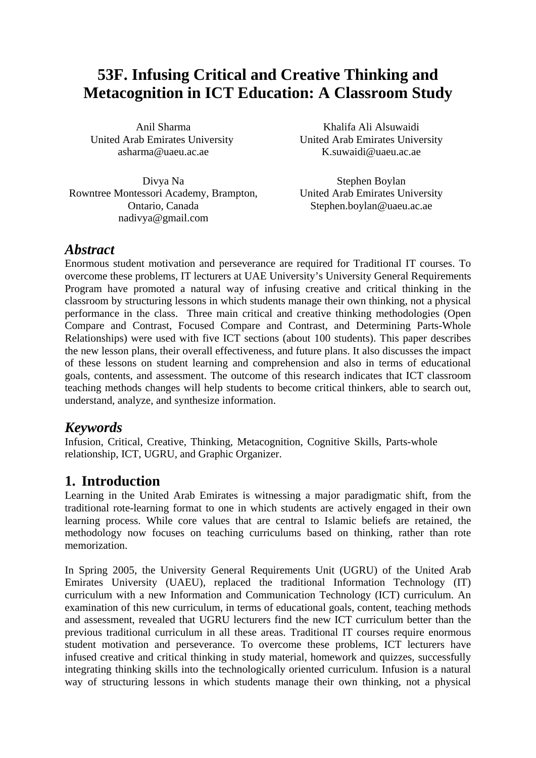# **53F. Infusing Critical and Creative Thinking and Metacognition in ICT Education: A Classroom Study**

Anil Sharma United Arab Emirates University asharma@uaeu.ac.ae

Divya Na Rowntree Montessori Academy, Brampton, Ontario, Canada nadivya@gmail.com

Khalifa Ali Alsuwaidi United Arab Emirates University K.suwaidi@uaeu.ac.ae

Stephen Boylan United Arab Emirates University Stephen.boylan@uaeu.ac.ae

## *Abstract*

Enormous student motivation and perseverance are required for Traditional IT courses. To overcome these problems, IT lecturers at UAE University's University General Requirements Program have promoted a natural way of infusing creative and critical thinking in the classroom by structuring lessons in which students manage their own thinking, not a physical performance in the class. Three main critical and creative thinking methodologies (Open Compare and Contrast, Focused Compare and Contrast, and Determining Parts-Whole Relationships) were used with five ICT sections (about 100 students). This paper describes the new lesson plans, their overall effectiveness, and future plans. It also discusses the impact of these lessons on student learning and comprehension and also in terms of educational goals, contents, and assessment. The outcome of this research indicates that ICT classroom teaching methods changes will help students to become critical thinkers, able to search out, understand, analyze, and synthesize information.

# *Keywords*

Infusion, Critical, Creative, Thinking, Metacognition, Cognitive Skills, Parts-whole relationship, ICT, UGRU, and Graphic Organizer.

# **1. Introduction**

Learning in the United Arab Emirates is witnessing a major paradigmatic shift, from the traditional rote-learning format to one in which students are actively engaged in their own learning process. While core values that are central to Islamic beliefs are retained, the methodology now focuses on teaching curriculums based on thinking, rather than rote memorization.

In Spring 2005, the University General Requirements Unit (UGRU) of the United Arab Emirates University (UAEU), replaced the traditional Information Technology (IT) curriculum with a new Information and Communication Technology (ICT) curriculum. An examination of this new curriculum, in terms of educational goals, content, teaching methods and assessment, revealed that UGRU lecturers find the new ICT curriculum better than the previous traditional curriculum in all these areas. Traditional IT courses require enormous student motivation and perseverance. To overcome these problems, ICT lecturers have infused creative and critical thinking in study material, homework and quizzes, successfully integrating thinking skills into the technologically oriented curriculum. Infusion is a natural way of structuring lessons in which students manage their own thinking, not a physical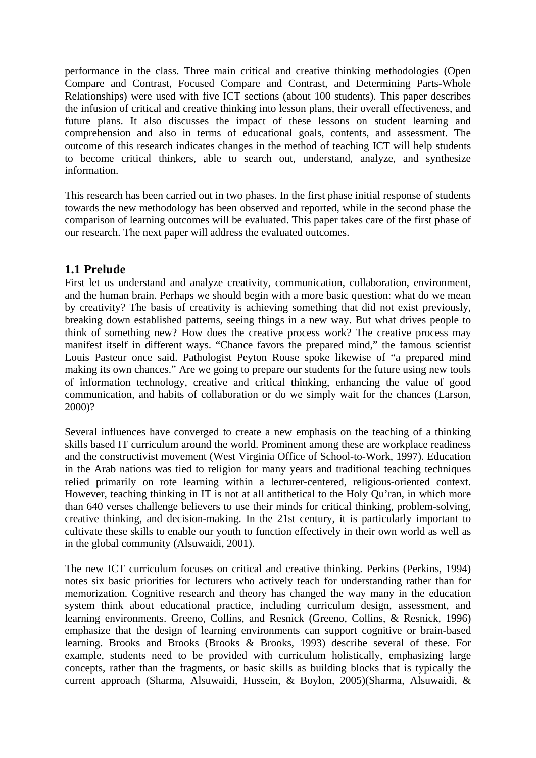performance in the class. Three main critical and creative thinking methodologies (Open Compare and Contrast, Focused Compare and Contrast, and Determining Parts-Whole Relationships) were used with five ICT sections (about 100 students). This paper describes the infusion of critical and creative thinking into lesson plans, their overall effectiveness, and future plans. It also discusses the impact of these lessons on student learning and comprehension and also in terms of educational goals, contents, and assessment. The outcome of this research indicates changes in the method of teaching ICT will help students to become critical thinkers, able to search out, understand, analyze, and synthesize information.

This research has been carried out in two phases. In the first phase initial response of students towards the new methodology has been observed and reported, while in the second phase the comparison of learning outcomes will be evaluated. This paper takes care of the first phase of our research. The next paper will address the evaluated outcomes.

#### **1.1 Prelude**

First let us understand and analyze creativity, communication, collaboration, environment, and the human brain. Perhaps we should begin with a more basic question: what do we mean by creativity? The basis of creativity is achieving something that did not exist previously, breaking down established patterns, seeing things in a new way. But what drives people to think of something new? How does the creative process work? The creative process may manifest itself in different ways. "Chance favors the prepared mind," the famous scientist Louis Pasteur once said. Pathologist Peyton Rouse spoke likewise of "a prepared mind making its own chances." Are we going to prepare our students for the future using new tools of information technology, creative and critical thinking, enhancing the value of good communication, and habits of collaboration or do we simply wait for the chances (Larson, 2000)?

Several influences have converged to create a new emphasis on the teaching of a thinking skills based IT curriculum around the world. Prominent among these are workplace readiness and the constructivist movement (West Virginia Office of School-to-Work, 1997). Education in the Arab nations was tied to religion for many years and traditional teaching techniques relied primarily on rote learning within a lecturer-centered, religious-oriented context. However, teaching thinking in IT is not at all antithetical to the Holy Qu'ran, in which more than 640 verses challenge believers to use their minds for critical thinking, problem-solving, creative thinking, and decision-making. In the 21st century, it is particularly important to cultivate these skills to enable our youth to function effectively in their own world as well as in the global community (Alsuwaidi, 2001).

The new ICT curriculum focuses on critical and creative thinking. Perkins (Perkins, 1994) notes six basic priorities for lecturers who actively teach for understanding rather than for memorization. Cognitive research and theory has changed the way many in the education system think about educational practice, including curriculum design, assessment, and learning environments. Greeno, Collins, and Resnick (Greeno, Collins, & Resnick, 1996) emphasize that the design of learning environments can support cognitive or brain-based learning. Brooks and Brooks (Brooks & Brooks, 1993) describe several of these. For example, students need to be provided with curriculum holistically, emphasizing large concepts, rather than the fragments, or basic skills as building blocks that is typically the current approach (Sharma, Alsuwaidi, Hussein, & Boylon, 2005)(Sharma, Alsuwaidi, &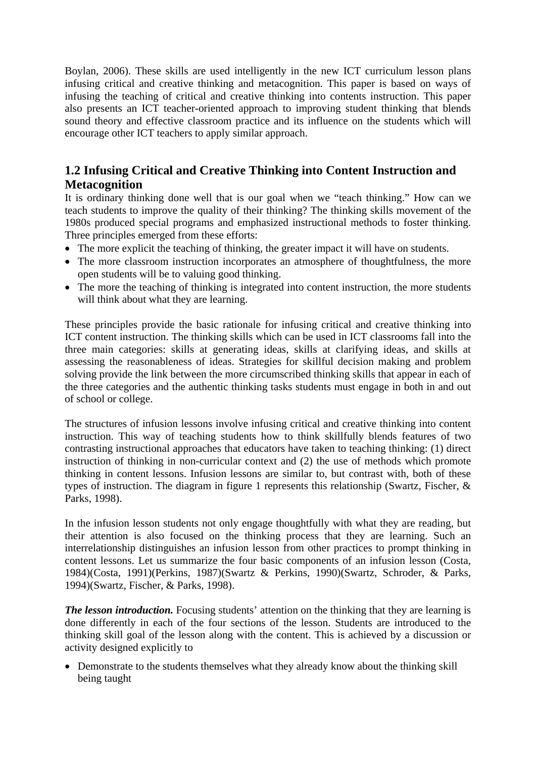Boylan, 2006). These skills are used intelligently in the new ICT curriculum lesson plans infusing critical and creative thinking and metacognition. This paper is based on ways of infusing the teaching of critical and creative thinking into contents instruction. This paper also presents an ICT teacher-oriented approach to improving student thinking that blends sound theory and effective classroom practice and its influence on the students which will encourage other ICT teachers to apply similar approach.

### **1.2 Infusing Critical and Creative Thinking into Content Instruction and Metacognition**

It is ordinary thinking done well that is our goal when we "teach thinking." How can we teach students to improve the quality of their thinking? The thinking skills movement of the 1980s produced special programs and emphasized instructional methods to foster thinking. Three principles emerged from these efforts:

- The more explicit the teaching of thinking, the greater impact it will have on students.
- The more classroom instruction incorporates an atmosphere of thoughtfulness, the more open students will be to valuing good thinking.
- The more the teaching of thinking is integrated into content instruction, the more students will think about what they are learning.

These principles provide the basic rationale for infusing critical and creative thinking into ICT content instruction. The thinking skills which can be used in ICT classrooms fall into the three main categories: skills at generating ideas, skills at clarifying ideas, and skills at assessing the reasonableness of ideas. Strategies for skillful decision making and problem solving provide the link between the more circumscribed thinking skills that appear in each of the three categories and the authentic thinking tasks students must engage in both in and out of school or college.

The structures of infusion lessons involve infusing critical and creative thinking into content instruction. This way of teaching students how to think skillfully blends features of two contrasting instructional approaches that educators have taken to teaching thinking: (1) direct instruction of thinking in non-curricular context and (2) the use of methods which promote thinking in content lessons. Infusion lessons are similar to, but contrast with, both of these types of instruction. The diagram in figure 1 represents this relationship (Swartz, Fischer,  $\&$ Parks, 1998).

In the infusion lesson students not only engage thoughtfully with what they are reading, but their attention is also focused on the thinking process that they are learning. Such an interrelationship distinguishes an infusion lesson from other practices to prompt thinking in content lessons. Let us summarize the four basic components of an infusion lesson (Costa, 1984)(Costa, 1991)(Perkins, 1987)(Swartz & Perkins, 1990)(Swartz, Schroder, & Parks, 1994)(Swartz, Fischer, & Parks, 1998).

*The lesson introduction.* Focusing students' attention on the thinking that they are learning is done differently in each of the four sections of the lesson. Students are introduced to the thinking skill goal of the lesson along with the content. This is achieved by a discussion or activity designed explicitly to

• Demonstrate to the students themselves what they already know about the thinking skill being taught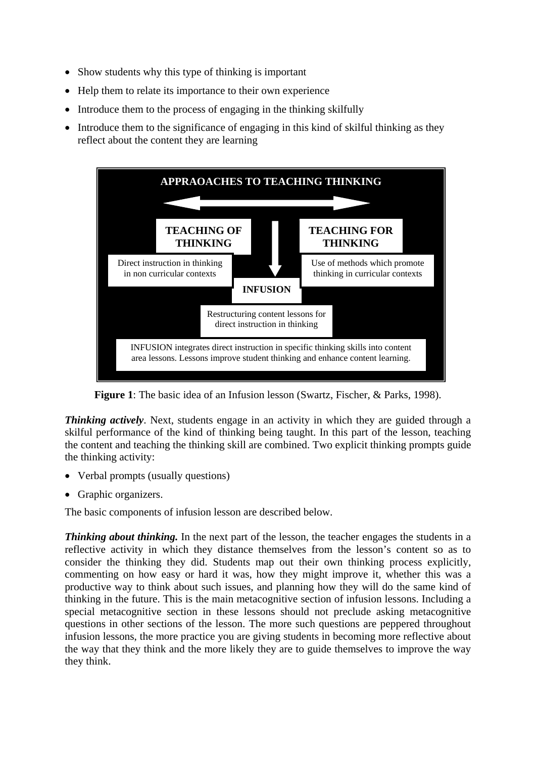- Show students why this type of thinking is important
- Help them to relate its importance to their own experience
- Introduce them to the process of engaging in the thinking skilfully
- Introduce them to the significance of engaging in this kind of skilful thinking as they reflect about the content they are learning



**Figure 1**: The basic idea of an Infusion lesson (Swartz, Fischer, & Parks, 1998).

*Thinking actively.* Next, students engage in an activity in which they are guided through a skilful performance of the kind of thinking being taught. In this part of the lesson, teaching the content and teaching the thinking skill are combined. Two explicit thinking prompts guide the thinking activity:

- Verbal prompts (usually questions)
- Graphic organizers.

The basic components of infusion lesson are described below.

*Thinking about thinking.* In the next part of the lesson, the teacher engages the students in a reflective activity in which they distance themselves from the lesson's content so as to consider the thinking they did. Students map out their own thinking process explicitly, commenting on how easy or hard it was, how they might improve it, whether this was a productive way to think about such issues, and planning how they will do the same kind of thinking in the future. This is the main metacognitive section of infusion lessons. Including a special metacognitive section in these lessons should not preclude asking metacognitive questions in other sections of the lesson. The more such questions are peppered throughout infusion lessons, the more practice you are giving students in becoming more reflective about the way that they think and the more likely they are to guide themselves to improve the way they think.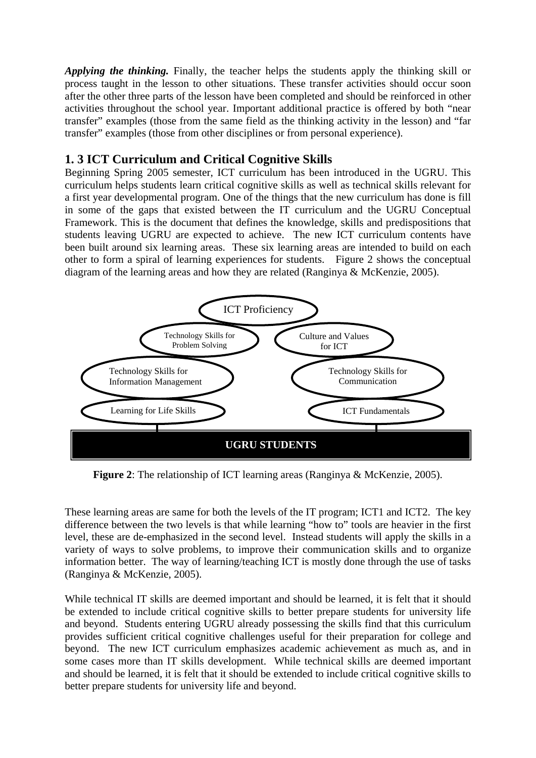*Applying the thinking.* Finally, the teacher helps the students apply the thinking skill or process taught in the lesson to other situations. These transfer activities should occur soon after the other three parts of the lesson have been completed and should be reinforced in other activities throughout the school year. Important additional practice is offered by both "near transfer" examples (those from the same field as the thinking activity in the lesson) and "far transfer" examples (those from other disciplines or from personal experience).

#### **1. 3 ICT Curriculum and Critical Cognitive Skills**

Beginning Spring 2005 semester, ICT curriculum has been introduced in the UGRU. This curriculum helps students learn critical cognitive skills as well as technical skills relevant for a first year developmental program. One of the things that the new curriculum has done is fill in some of the gaps that existed between the IT curriculum and the UGRU Conceptual Framework. This is the document that defines the knowledge, skills and predispositions that students leaving UGRU are expected to achieve. The new ICT curriculum contents have been built around six learning areas. These six learning areas are intended to build on each other to form a spiral of learning experiences for students. Figure 2 shows the conceptual diagram of the learning areas and how they are related (Ranginya & McKenzie, 2005).



**Figure 2**: The relationship of ICT learning areas (Ranginya & McKenzie, 2005).

These learning areas are same for both the levels of the IT program; ICT1 and ICT2. The key difference between the two levels is that while learning "how to" tools are heavier in the first level, these are de-emphasized in the second level. Instead students will apply the skills in a variety of ways to solve problems, to improve their communication skills and to organize information better. The way of learning/teaching ICT is mostly done through the use of tasks (Ranginya & McKenzie, 2005).

While technical IT skills are deemed important and should be learned, it is felt that it should be extended to include critical cognitive skills to better prepare students for university life and beyond. Students entering UGRU already possessing the skills find that this curriculum provides sufficient critical cognitive challenges useful for their preparation for college and beyond. The new ICT curriculum emphasizes academic achievement as much as, and in some cases more than IT skills development. While technical skills are deemed important and should be learned, it is felt that it should be extended to include critical cognitive skills to better prepare students for university life and beyond.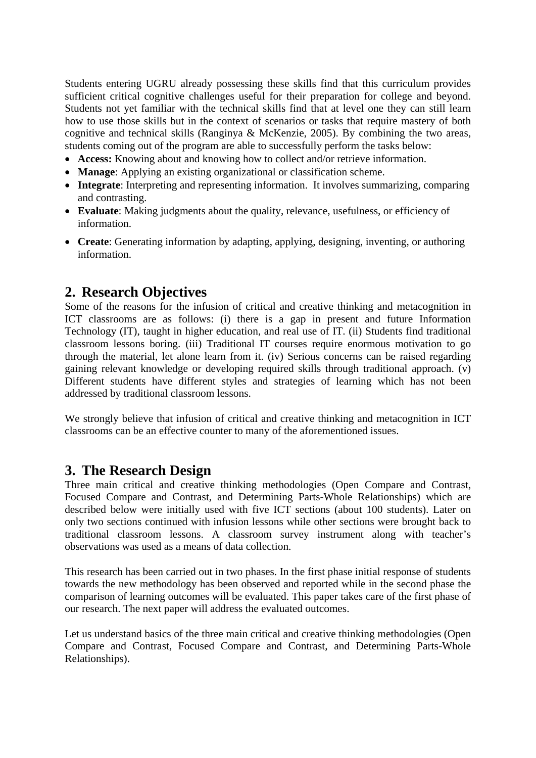Students entering UGRU already possessing these skills find that this curriculum provides sufficient critical cognitive challenges useful for their preparation for college and beyond. Students not yet familiar with the technical skills find that at level one they can still learn how to use those skills but in the context of scenarios or tasks that require mastery of both cognitive and technical skills (Ranginya & McKenzie, 2005). By combining the two areas, students coming out of the program are able to successfully perform the tasks below:

- **Access:** Knowing about and knowing how to collect and/or retrieve information.
- **Manage**: Applying an existing organizational or classification scheme.
- **Integrate**: Interpreting and representing information. It involves summarizing, comparing and contrasting.
- **Evaluate**: Making judgments about the quality, relevance, usefulness, or efficiency of information.
- **Create**: Generating information by adapting, applying, designing, inventing, or authoring information.

# **2. Research Objectives**

Some of the reasons for the infusion of critical and creative thinking and metacognition in ICT classrooms are as follows: (i) there is a gap in present and future Information Technology (IT), taught in higher education, and real use of IT. (ii) Students find traditional classroom lessons boring. (iii) Traditional IT courses require enormous motivation to go through the material, let alone learn from it. (iv) Serious concerns can be raised regarding gaining relevant knowledge or developing required skills through traditional approach. (v) Different students have different styles and strategies of learning which has not been addressed by traditional classroom lessons.

We strongly believe that infusion of critical and creative thinking and metacognition in ICT classrooms can be an effective counter to many of the aforementioned issues.

## **3. The Research Design**

Three main critical and creative thinking methodologies (Open Compare and Contrast, Focused Compare and Contrast, and Determining Parts-Whole Relationships) which are described below were initially used with five ICT sections (about 100 students). Later on only two sections continued with infusion lessons while other sections were brought back to traditional classroom lessons. A classroom survey instrument along with teacher's observations was used as a means of data collection.

This research has been carried out in two phases. In the first phase initial response of students towards the new methodology has been observed and reported while in the second phase the comparison of learning outcomes will be evaluated. This paper takes care of the first phase of our research. The next paper will address the evaluated outcomes.

Let us understand basics of the three main critical and creative thinking methodologies (Open Compare and Contrast, Focused Compare and Contrast, and Determining Parts-Whole Relationships).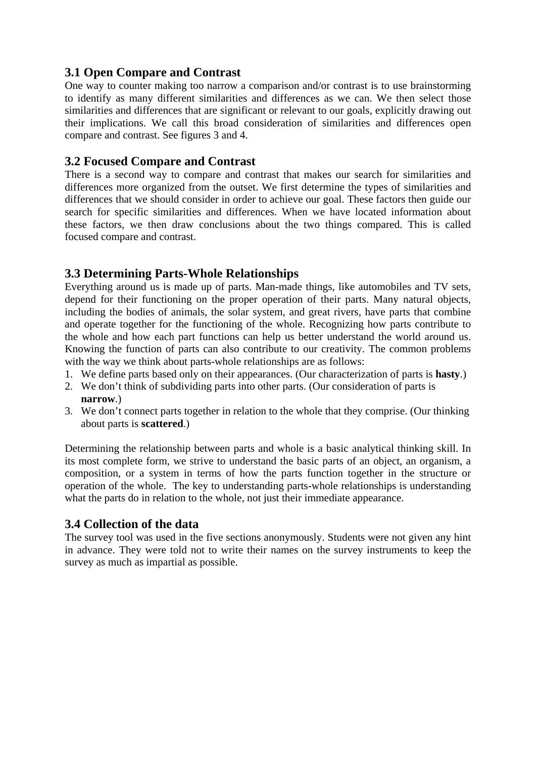### **3.1 Open Compare and Contrast**

One way to counter making too narrow a comparison and/or contrast is to use brainstorming to identify as many different similarities and differences as we can. We then select those similarities and differences that are significant or relevant to our goals, explicitly drawing out their implications. We call this broad consideration of similarities and differences open compare and contrast. See figures 3 and 4.

#### **3.2 Focused Compare and Contrast**

There is a second way to compare and contrast that makes our search for similarities and differences more organized from the outset. We first determine the types of similarities and differences that we should consider in order to achieve our goal. These factors then guide our search for specific similarities and differences. When we have located information about these factors, we then draw conclusions about the two things compared. This is called focused compare and contrast.

#### **3.3 Determining Parts-Whole Relationships**

Everything around us is made up of parts. Man-made things, like automobiles and TV sets, depend for their functioning on the proper operation of their parts. Many natural objects, including the bodies of animals, the solar system, and great rivers, have parts that combine and operate together for the functioning of the whole. Recognizing how parts contribute to the whole and how each part functions can help us better understand the world around us. Knowing the function of parts can also contribute to our creativity. The common problems with the way we think about parts-whole relationships are as follows:

- 1. We define parts based only on their appearances. (Our characterization of parts is **hasty**.)
- 2. We don't think of subdividing parts into other parts. (Our consideration of parts is **narrow**.)
- 3. We don't connect parts together in relation to the whole that they comprise. (Our thinking about parts is **scattered**.)

Determining the relationship between parts and whole is a basic analytical thinking skill. In its most complete form, we strive to understand the basic parts of an object, an organism, a composition, or a system in terms of how the parts function together in the structure or operation of the whole. The key to understanding parts-whole relationships is understanding what the parts do in relation to the whole, not just their immediate appearance.

#### **3.4 Collection of the data**

The survey tool was used in the five sections anonymously. Students were not given any hint in advance. They were told not to write their names on the survey instruments to keep the survey as much as impartial as possible.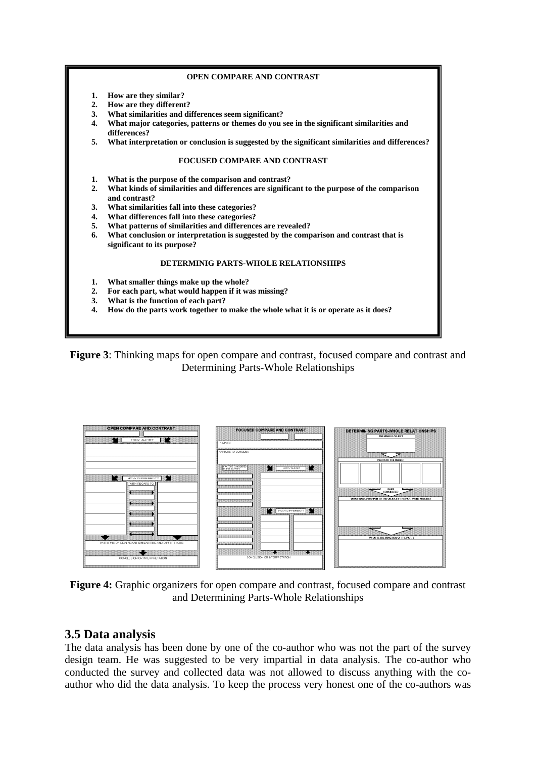#### **OPEN COMPARE AND CONTRAST**

- **1. How are they similar?**
- **2. How are they different?**
- **3. What similarities and differences seem significant?**
- **4. What major categories, patterns or themes do you see in the significant similarities and differences?**
- **5. What interpretation or conclusion is suggested by the significant similarities and differences?**

#### **FOCUSED COMPARE AND CONTRAST**

- **1. What is the purpose of the comparison and contrast?**
- **2. What kinds of similarities and differences are significant to the purpose of the comparison and contrast?**
- **3. What similarities fall into these categories?**
- **4. What differences fall into these categories?**
- **5. What patterns of similarities and differences are revealed?**
- **6. What conclusion or interpretation is suggested by the comparison and contrast that is significant to its purpose?**

#### **DETERMINIG PARTS-WHOLE RELATIONSHIPS**

- **1. What smaller things make up the whole?**
- **2. For each part, what would happen if it was missing?**
- **3. What is the function of each part?**
- **4. How do the parts work together to make the whole what it is or operate as it does?**

**Figure 3**: Thinking maps for open compare and contrast, focused compare and contrast and Determining Parts-Whole Relationships



**Figure 4:** Graphic organizers for open compare and contrast, focused compare and contrast and Determining Parts-Whole Relationships

#### **3.5 Data analysis**

The data analysis has been done by one of the co-author who was not the part of the survey design team. He was suggested to be very impartial in data analysis. The co-author who conducted the survey and collected data was not allowed to discuss anything with the coauthor who did the data analysis. To keep the process very honest one of the co-authors was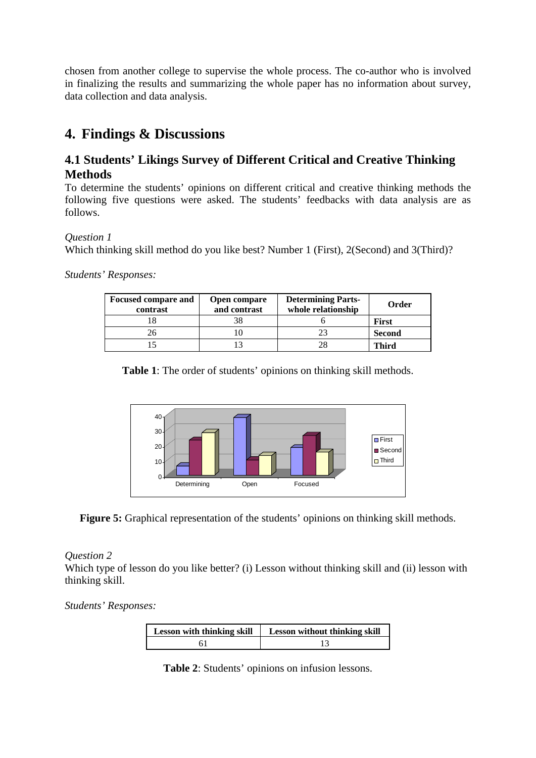chosen from another college to supervise the whole process. The co-author who is involved in finalizing the results and summarizing the whole paper has no information about survey, data collection and data analysis.

# **4. Findings & Discussions**

## **4.1 Students' Likings Survey of Different Critical and Creative Thinking Methods**

To determine the students' opinions on different critical and creative thinking methods the following five questions were asked. The students' feedbacks with data analysis are as follows.

#### *Question 1*

Which thinking skill method do you like best? Number 1 (First), 2(Second) and 3(Third)?

*Students' Responses:* 

| <b>Focused compare and</b><br>contrast | Open compare<br>and contrast | <b>Determining Parts-</b><br>whole relationship | Order         |
|----------------------------------------|------------------------------|-------------------------------------------------|---------------|
|                                        | 38                           |                                                 | <b>First</b>  |
|                                        |                              |                                                 | <b>Second</b> |
|                                        |                              |                                                 | Third         |

**Table 1**: The order of students' opinions on thinking skill methods.



**Figure 5:** Graphical representation of the students' opinions on thinking skill methods.

*Question 2*

Which type of lesson do you like better? (i) Lesson without thinking skill and (ii) lesson with thinking skill.

*Students' Responses:* 

| <b>Lesson with thinking skill</b> | <b>Lesson without thinking skill</b> |
|-----------------------------------|--------------------------------------|
|                                   |                                      |

**Table 2**: Students' opinions on infusion lessons.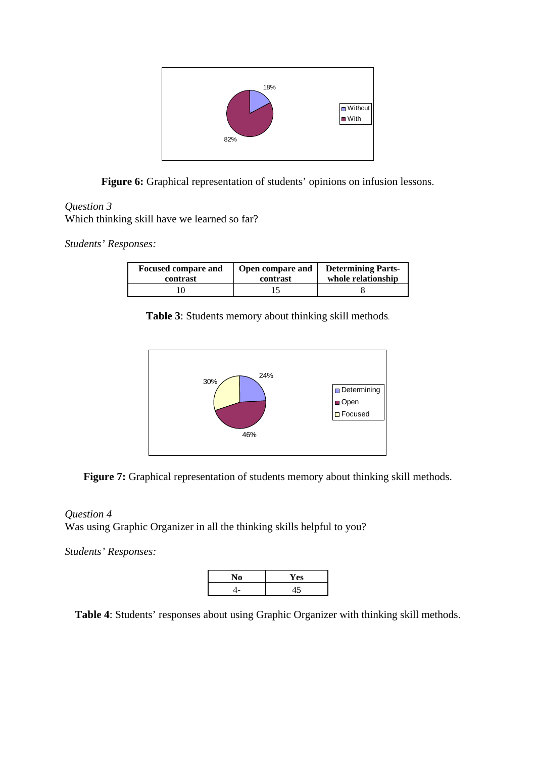

**Figure 6:** Graphical representation of students' opinions on infusion lessons.

#### *Question 3*

Which thinking skill have we learned so far?

*Students' Responses:*

| <b>Focused compare and</b> | Open compare and | <b>Determining Parts-</b> |
|----------------------------|------------------|---------------------------|
| contrast                   | contrast         | whole relationship        |
|                            |                  |                           |

**Table 3**: Students memory about thinking skill methods.



**Figure 7:** Graphical representation of students memory about thinking skill methods.

*Question 4*  Was using Graphic Organizer in all the thinking skills helpful to you?

*Students' Responses:* 



**Table 4**: Students' responses about using Graphic Organizer with thinking skill methods.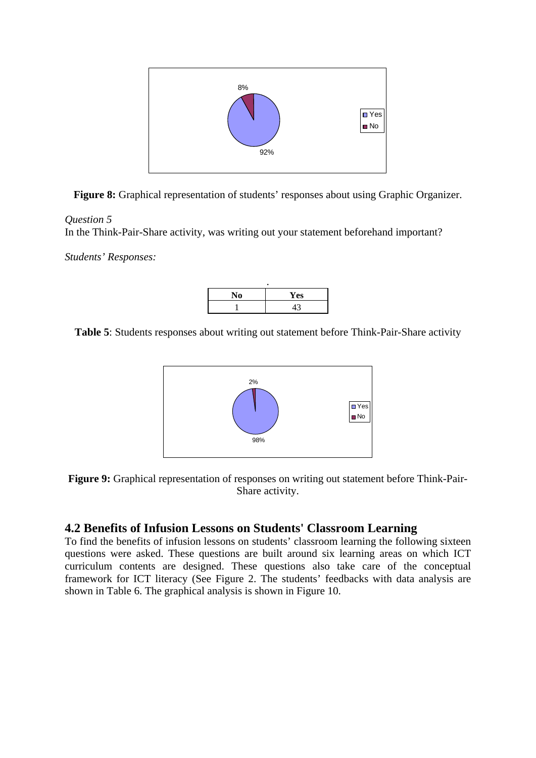

**Figure 8:** Graphical representation of students' responses about using Graphic Organizer.

#### *Question 5*

In the Think-Pair-Share activity, was writing out your statement beforehand important?

*Students' Responses:* 



**Table 5**: Students responses about writing out statement before Think-Pair-Share activity





#### **4.2 Benefits of Infusion Lessons on Students' Classroom Learning**

To find the benefits of infusion lessons on students' classroom learning the following sixteen questions were asked. These questions are built around six learning areas on which ICT curriculum contents are designed. These questions also take care of the conceptual framework for ICT literacy (See Figure 2. The students' feedbacks with data analysis are shown in Table 6. The graphical analysis is shown in Figure 10.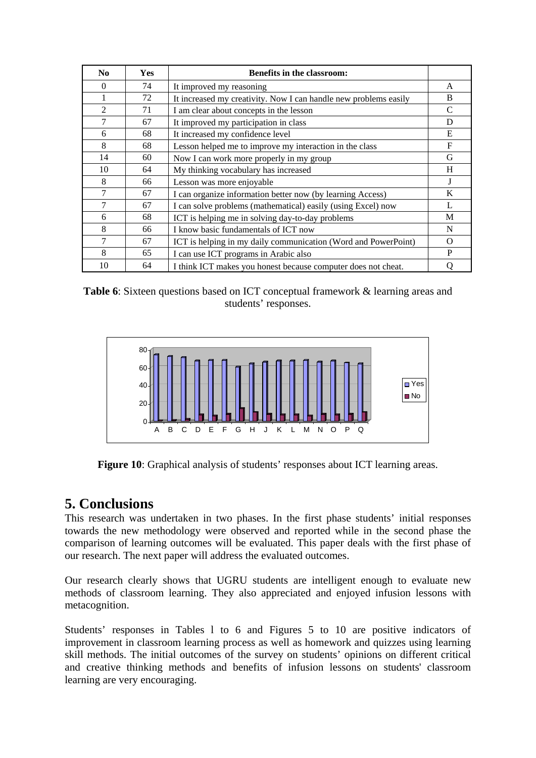| N <sub>0</sub> | <b>Yes</b> | <b>Benefits in the classroom:</b>                                |                |
|----------------|------------|------------------------------------------------------------------|----------------|
| $\Omega$       | 74         | It improved my reasoning                                         | A              |
| 1              | 72         | It increased my creativity. Now I can handle new problems easily | B              |
| $\overline{2}$ | 71         | I am clear about concepts in the lesson                          | C              |
| 7              | 67         | It improved my participation in class                            | D              |
| 6              | 68         | It increased my confidence level                                 | E              |
| 8              | 68         | Lesson helped me to improve my interaction in the class          | F              |
| 14             | 60         | Now I can work more properly in my group                         | G              |
| 10             | 64         | My thinking vocabulary has increased                             | H              |
| 8              | 66         | Lesson was more enjoyable                                        | J              |
| 7              | 67         | I can organize information better now (by learning Access)       | K              |
| 7              | 67         | I can solve problems (mathematical) easily (using Excel) now     | $\mathbf{I}$ . |
| 6              | 68         | ICT is helping me in solving day-to-day problems                 | M              |
| 8              | 66         | I know basic fundamentals of ICT now                             | N              |
| 7              | 67         | ICT is helping in my daily communication (Word and PowerPoint)   | $\Omega$       |
| 8              | 65         | I can use ICT programs in Arabic also                            | P              |
| 10             | 64         | I think ICT makes you honest because computer does not cheat.    |                |





**Figure 10**: Graphical analysis of students' responses about ICT learning areas.

## **5. Conclusions**

This research was undertaken in two phases. In the first phase students' initial responses towards the new methodology were observed and reported while in the second phase the comparison of learning outcomes will be evaluated. This paper deals with the first phase of our research. The next paper will address the evaluated outcomes.

Our research clearly shows that UGRU students are intelligent enough to evaluate new methods of classroom learning. They also appreciated and enjoyed infusion lessons with metacognition.

Students' responses in Tables l to 6 and Figures 5 to 10 are positive indicators of improvement in classroom learning process as well as homework and quizzes using learning skill methods. The initial outcomes of the survey on students' opinions on different critical and creative thinking methods and benefits of infusion lessons on students' classroom learning are very encouraging.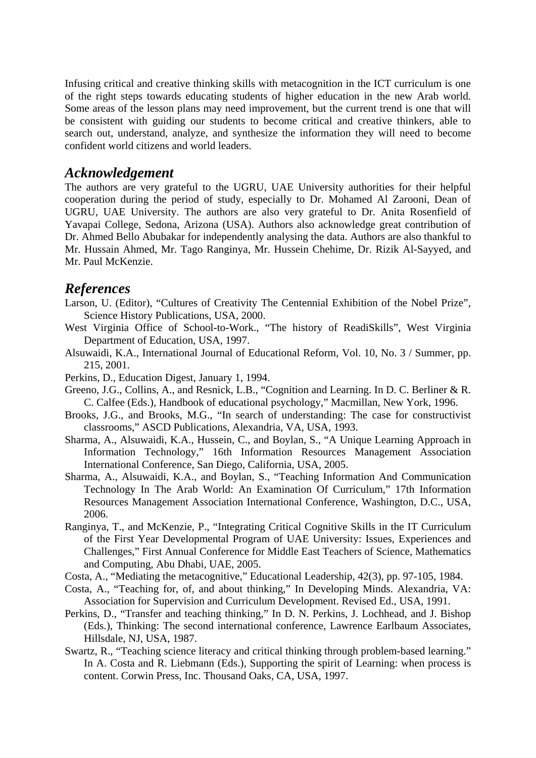Infusing critical and creative thinking skills with metacognition in the ICT curriculum is one of the right steps towards educating students of higher education in the new Arab world. Some areas of the lesson plans may need improvement, but the current trend is one that will be consistent with guiding our students to become critical and creative thinkers, able to search out, understand, analyze, and synthesize the information they will need to become confident world citizens and world leaders.

#### *Acknowledgement*

The authors are very grateful to the UGRU, UAE University authorities for their helpful cooperation during the period of study, especially to Dr. Mohamed Al Zarooni, Dean of UGRU, UAE University. The authors are also very grateful to Dr. Anita Rosenfield of Yavapai College, Sedona, Arizona (USA). Authors also acknowledge great contribution of Dr. Ahmed Bello Abubakar for independently analysing the data. Authors are also thankful to Mr. Hussain Ahmed, Mr. Tago Ranginya, Mr. Hussein Chehime, Dr. Rizik Al-Sayyed, and Mr. Paul McKenzie.

#### *References*

- Larson, U. (Editor), "Cultures of Creativity The Centennial Exhibition of the Nobel Prize", Science History Publications, USA, 2000.
- West Virginia Office of School-to-Work., "The history of ReadiSkills", West Virginia Department of Education, USA, 1997.
- Alsuwaidi, K.A., International Journal of Educational Reform, Vol. 10, No. 3 / Summer, pp. 215, 2001.
- Perkins, D., Education Digest, January 1, 1994.
- Greeno, J.G., Collins, A., and Resnick, L.B., "Cognition and Learning. In D. C. Berliner & R. C. Calfee (Eds.), Handbook of educational psychology," Macmillan, New York, 1996.
- Brooks, J.G., and Brooks, M.G., "In search of understanding: The case for constructivist classrooms," ASCD Publications, Alexandria, VA, USA, 1993.
- Sharma, A., Alsuwaidi, K.A., Hussein, C., and Boylan, S., "A Unique Learning Approach in Information Technology," 16th Information Resources Management Association International Conference, San Diego, California, USA, 2005.
- Sharma, A., Alsuwaidi, K.A., and Boylan, S., "Teaching Information And Communication Technology In The Arab World: An Examination Of Curriculum," 17th Information Resources Management Association International Conference, Washington, D.C., USA, 2006.
- Ranginya, T., and McKenzie, P., "Integrating Critical Cognitive Skills in the IT Curriculum of the First Year Developmental Program of UAE University: Issues, Experiences and Challenges," First Annual Conference for Middle East Teachers of Science, Mathematics and Computing, Abu Dhabi, UAE, 2005.
- Costa, A., "Mediating the metacognitive," Educational Leadership, 42(3), pp. 97-105, 1984.
- Costa, A., "Teaching for, of, and about thinking," In Developing Minds. Alexandria, VA: Association for Supervision and Curriculum Development. Revised Ed., USA, 1991.
- Perkins, D., "Transfer and teaching thinking," In D. N. Perkins, J. Lochhead, and J. Bishop (Eds.), Thinking: The second international conference, Lawrence Earlbaum Associates, Hillsdale, NJ, USA, 1987.
- Swartz, R., "Teaching science literacy and critical thinking through problem-based learning." In A. Costa and R. Liebmann (Eds.), Supporting the spirit of Learning: when process is content. Corwin Press, Inc. Thousand Oaks, CA, USA, 1997.